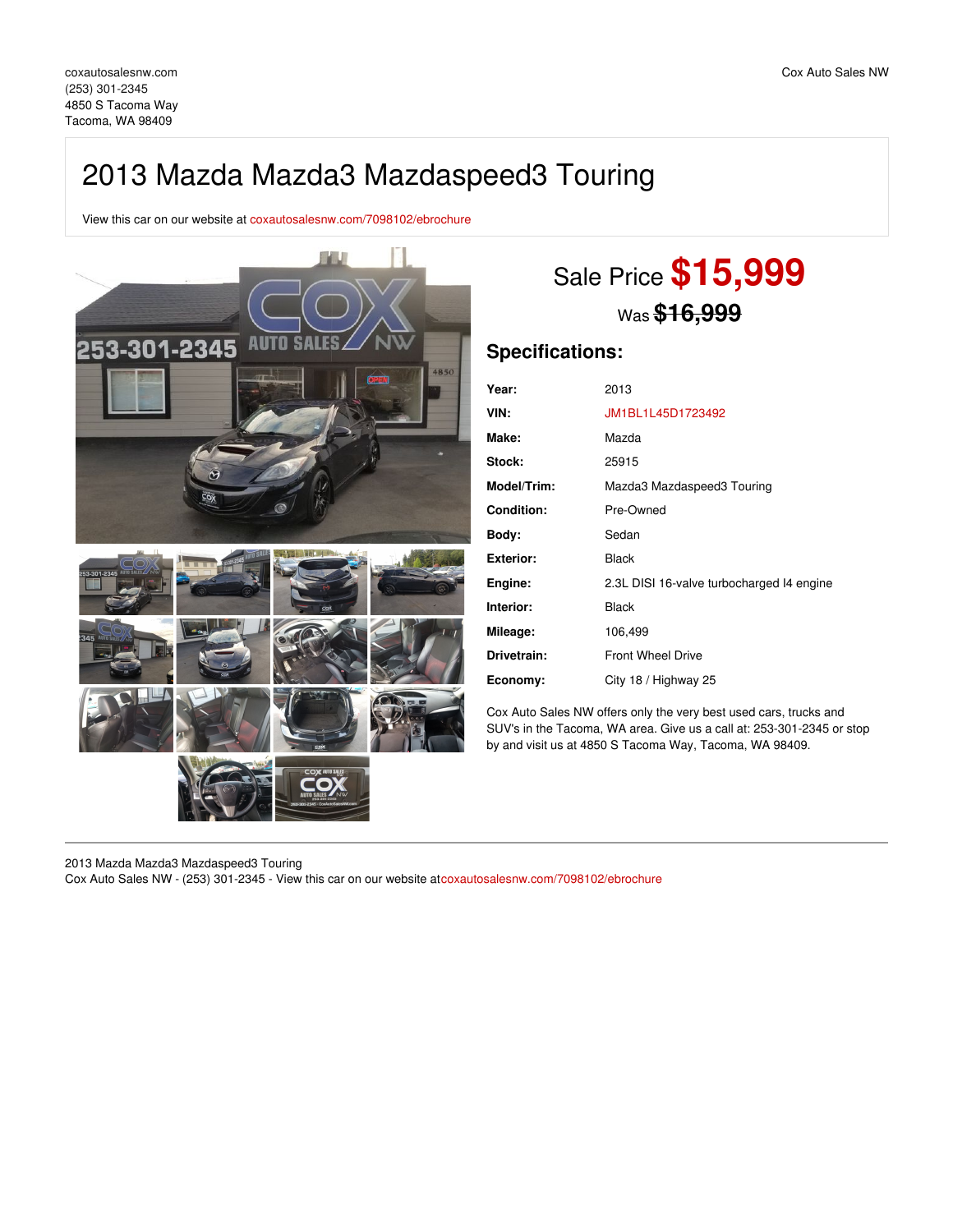## 2013 Mazda Mazda3 Mazdaspeed3 Touring

View this car on our website at [coxautosalesnw.com/7098102/ebrochure](https://coxautosalesnw.com/vehicle/7098102/2013-mazda-mazda3-mazdaspeed3-touring-tacoma-wa-98409/7098102/ebrochure)



# Sale Price **\$15,999** Was **\$16,999**

### **Specifications:**

| Year:              | 2013                                      |
|--------------------|-------------------------------------------|
| VIN:               | JM1BL1L45D1723492                         |
| Make:              | Mazda                                     |
| Stock:             | 25915                                     |
| <b>Model/Trim:</b> | Mazda3 Mazdaspeed3 Touring                |
| <b>Condition:</b>  | Pre-Owned                                 |
| Body:              | Sedan                                     |
| Exterior:          | <b>Black</b>                              |
| Engine:            | 2.3L DISI 16-valve turbocharged 14 engine |
| Interior:          | <b>Black</b>                              |
| Mileage:           | 106,499                                   |
| Drivetrain:        | <b>Front Wheel Drive</b>                  |
| Economy:           | City 18 / Highway 25                      |

Cox Auto Sales NW offers only the very best used cars, trucks and SUV's in the Tacoma, WA area. Give us a call at: 253-301-2345 or stop by and visit us at 4850 S Tacoma Way, Tacoma, WA 98409.

2013 Mazda Mazda3 Mazdaspeed3 Touring

Cox Auto Sales NW - (253) 301-2345 - View this car on our website at[coxautosalesnw.com/7098102/ebrochure](https://coxautosalesnw.com/vehicle/7098102/2013-mazda-mazda3-mazdaspeed3-touring-tacoma-wa-98409/7098102/ebrochure)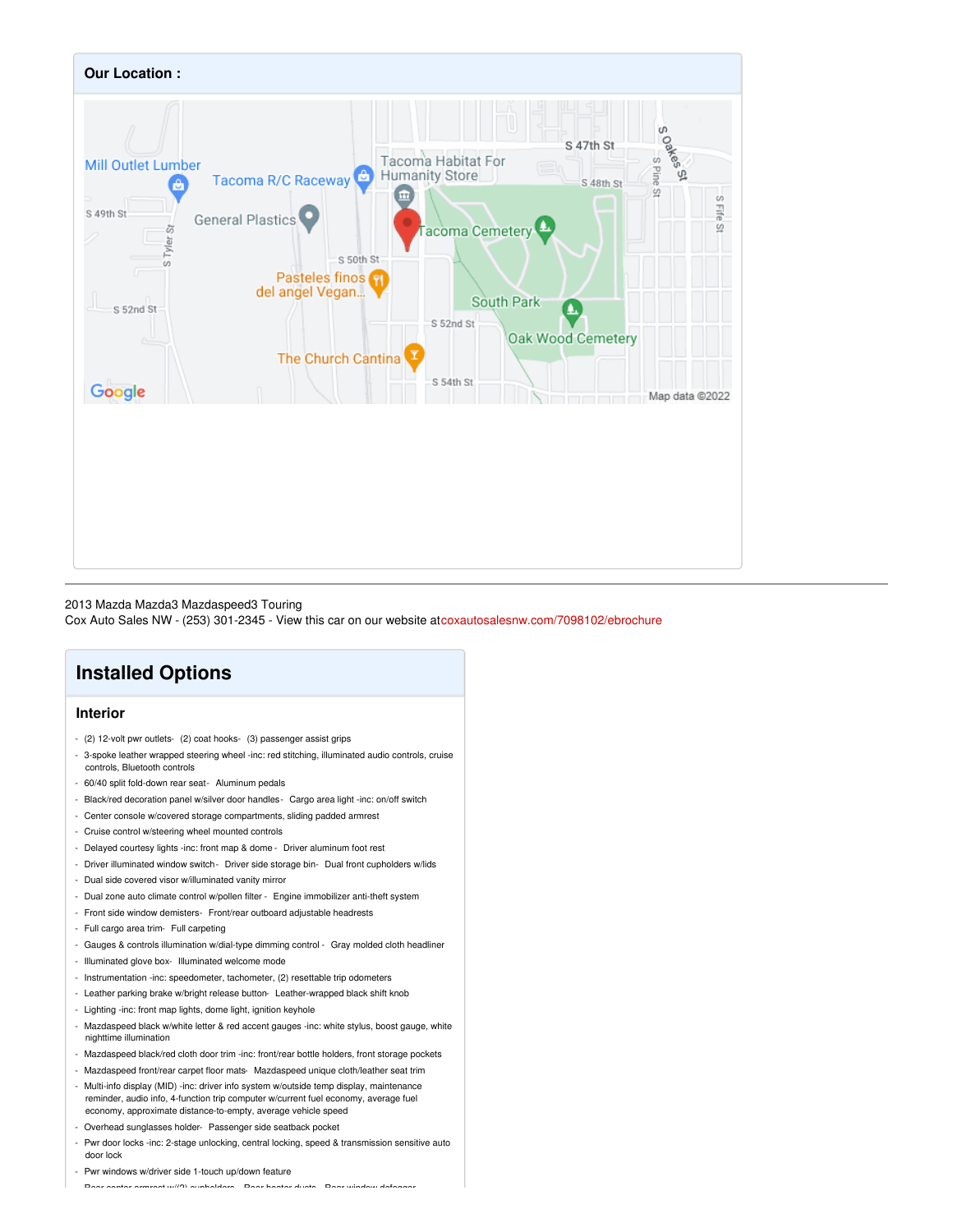

#### 2013 Mazda Mazda3 Mazdaspeed3 Touring

Cox Auto Sales NW - (253) 301-2345 - View this car on our website at[coxautosalesnw.com/7098102/ebrochure](https://coxautosalesnw.com/vehicle/7098102/2013-mazda-mazda3-mazdaspeed3-touring-tacoma-wa-98409/7098102/ebrochure)

## **Installed Options**

### **Interior**

- (2) 12-volt pwr outlets- (2) coat hooks- (3) passenger assist grips
- 3-spoke leather wrapped steering wheel -inc: red stitching, illuminated audio controls, cruise controls, Bluetooth controls
- 60/40 split fold-down rear seat- Aluminum pedals
- Black/red decoration panel w/silver door handles- Cargo area light -inc: on/off switch
- Center console w/covered storage compartments, sliding padded armrest
- Cruise control w/steering wheel mounted controls
- Delayed courtesy lights -inc: front map & dome Driver aluminum foot rest
- Driver illuminated window switch- Driver side storage bin- Dual front cupholders w/lids
- Dual side covered visor w/illuminated vanity mirror
- Dual zone auto climate control w/pollen filter Engine immobilizer anti-theft system
- Front side window demisters- Front/rear outboard adjustable headrests
- Full cargo area trim- Full carpeting
- Gauges & controls illumination w/dial-type dimming control Gray molded cloth headliner
- Illuminated glove box- Illuminated welcome mode
- Instrumentation -inc: speedometer, tachometer, (2) resettable trip odometers
- Leather parking brake w/bright release button- Leather-wrapped black shift knob
- Lighting -inc: front map lights, dome light, ignition keyhole
- Mazdaspeed black w/white letter & red accent gauges -inc: white stylus, boost gauge, white nighttime illumination
- Mazdaspeed black/red cloth door trim -inc: front/rear bottle holders, front storage pockets
- Mazdaspeed front/rear carpet floor mats- Mazdaspeed unique cloth/leather seat trim
- Multi-info display (MID) -inc: driver info system w/outside temp display, maintenance reminder, audio info, 4-function trip computer w/current fuel economy, average fuel economy, approximate distance-to-empty, average vehicle speed
- Overhead sunglasses holder- Passenger side seatback pocket
- Pwr door locks -inc: 2-stage unlocking, central locking, speed & transmission sensitive auto door lock
- Pwr windows w/driver side 1-touch up/down feature

- Rear center armrest w/(2) cupholders- Rear heater ducts- Rear window defogger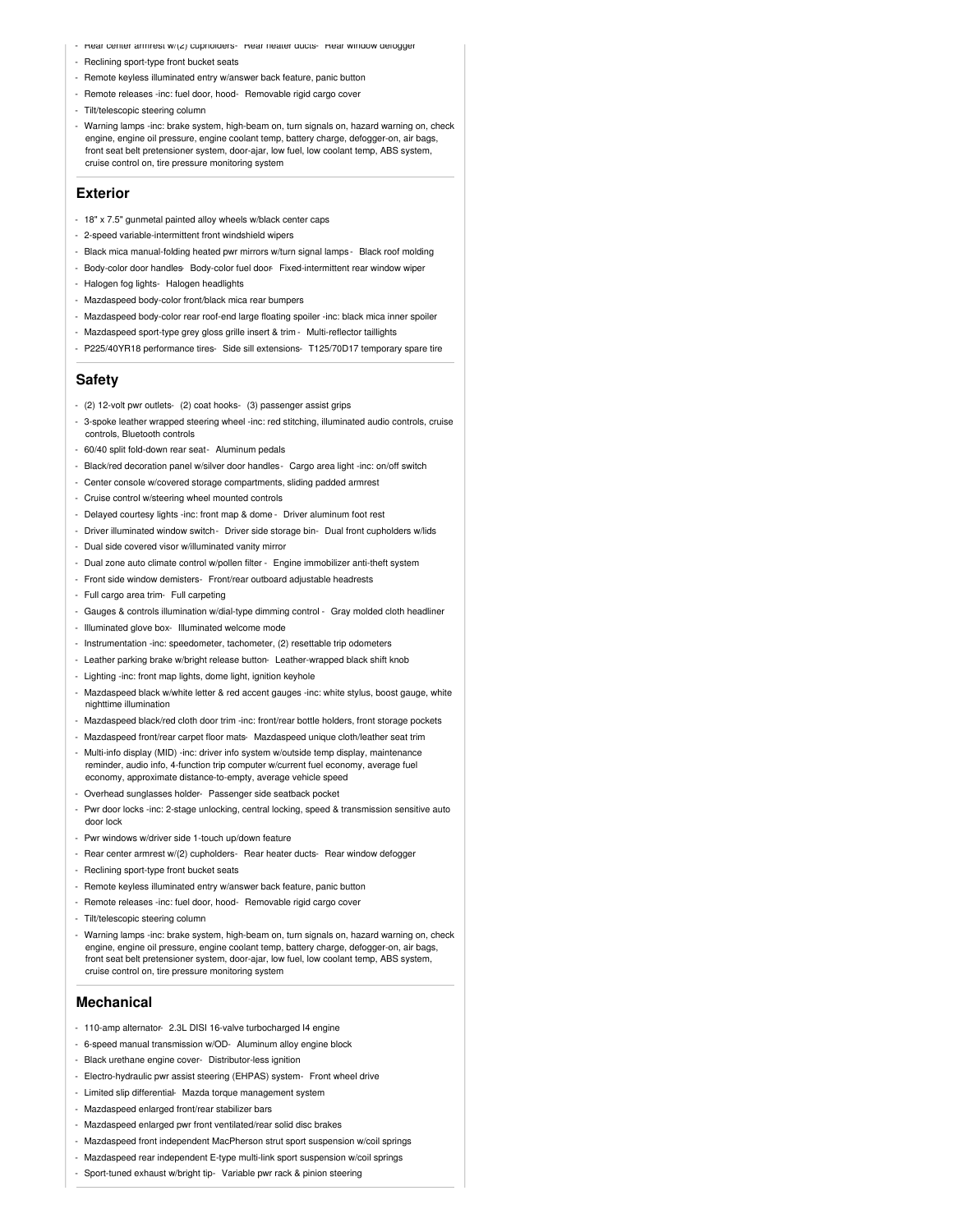- Hear center armrest w/(z) cupnolders- Hear neater ducts- Hear window defogger
- Reclining sport-type front bucket seats
- Remote keyless illuminated entry w/answer back feature, panic button
- Remote releases -inc: fuel door, hood- Removable rigid cargo cover
- Tilt/telescopic steering column
- Warning lamps -inc: brake system, high-beam on, turn signals on, hazard warning on, check engine, engine oil pressure, engine coolant temp, battery charge, defogger-on, air bags, front seat belt pretensioner system, door-ajar, low fuel, low coolant temp, ABS system, cruise control on, tire pressure monitoring system

### **Exterior**

- 18" x 7.5" gunmetal painted alloy wheels w/black center caps
- 2-speed variable-intermittent front windshield wipers
- Black mica manual-folding heated pwr mirrors w/turn signal lamps Black roof molding
- Body-color door handles Body-color fuel door Fixed-intermittent rear window wiper
- Halogen fog lights- Halogen headlights
- Mazdaspeed body-color front/black mica rear bumpers
- Mazdaspeed body-color rear roof-end large floating spoiler -inc: black mica inner spoiler
- Mazdaspeed sport-type grey gloss grille insert & trim Multi-reflector taillights
- P225/40YR18 performance tires- Side sill extensions- T125/70D17 temporary spare tire

### **Safety**

- (2) 12-volt pwr outlets- (2) coat hooks- (3) passenger assist grips
- 3-spoke leather wrapped steering wheel -inc: red stitching, illuminated audio controls, cruise controls, Bluetooth controls
- 60/40 split fold-down rear seat- Aluminum pedals
- Black/red decoration panel w/silver door handles- Cargo area light -inc: on/off switch
- Center console w/covered storage compartments, sliding padded armrest
- Cruise control w/steering wheel mounted controls
- Delayed courtesy lights -inc: front map & dome Driver aluminum foot rest
- Driver illuminated window switch- Driver side storage bin- Dual front cupholders w/lids
- Dual side covered visor w/illuminated vanity mirror
- Dual zone auto climate control w/pollen filter Engine immobilizer anti-theft system
- Front side window demisters- Front/rear outboard adjustable headrests
- Full cargo area trim- Full carpeting
- Gauges & controls illumination w/dial-type dimming control Gray molded cloth headliner
- Illuminated glove box- Illuminated welcome mode
- Instrumentation -inc: speedometer, tachometer, (2) resettable trip odometers
- Leather parking brake w/bright release button- Leather-wrapped black shift knob
- Lighting -inc: front map lights, dome light, ignition keyhole
- Mazdaspeed black w/white letter & red accent gauges -inc: white stylus, boost gauge, white nighttime illumination
- Mazdaspeed black/red cloth door trim -inc: front/rear bottle holders, front storage pockets
- Mazdaspeed front/rear carpet floor mats- Mazdaspeed unique cloth/leather seat trim
- Multi-info display (MID) -inc: driver info system w/outside temp display, maintenance reminder, audio info, 4-function trip computer w/current fuel economy, average fuel economy, approximate distance-to-empty, average vehicle speed
- Overhead sunglasses holder- Passenger side seatback pocket
- Pwr door locks -inc: 2-stage unlocking, central locking, speed & transmission sensitive auto door lock
- Pwr windows w/driver side 1-touch up/down feature
- Rear center armrest w/(2) cupholders- Rear heater ducts- Rear window defogger
- Reclining sport-type front bucket seats
- Remote keyless illuminated entry w/answer back feature, panic button
- Remote releases -inc: fuel door, hood- Removable rigid cargo cover
- Tilt/telescopic steering column
- Warning lamps -inc: brake system, high-beam on, turn signals on, hazard warning on, check engine, engine oil pressure, engine coolant temp, battery charge, defogger-on, air bags, front seat belt pretensioner system, door-ajar, low fuel, low coolant temp, ABS system, cruise control on, tire pressure monitoring system

### **Mechanical**

- 110-amp alternator- 2.3L DISI 16-valve turbocharged I4 engine
- 6-speed manual transmission w/OD- Aluminum alloy engine block
- Black urethane engine cover- Distributor-less ignition
- Electro-hydraulic pwr assist steering (EHPAS) system- Front wheel drive
- Limited slip differential- Mazda torque management system
- Mazdaspeed enlarged front/rear stabilizer bars
- Mazdaspeed enlarged pwr front ventilated/rear solid disc brakes
- Mazdaspeed front independent MacPherson strut sport suspension w/coil springs
- Mazdaspeed rear independent E-type multi-link sport suspension w/coil springs
- Sport-tuned exhaust w/bright tip- Variable pwr rack & pinion steering